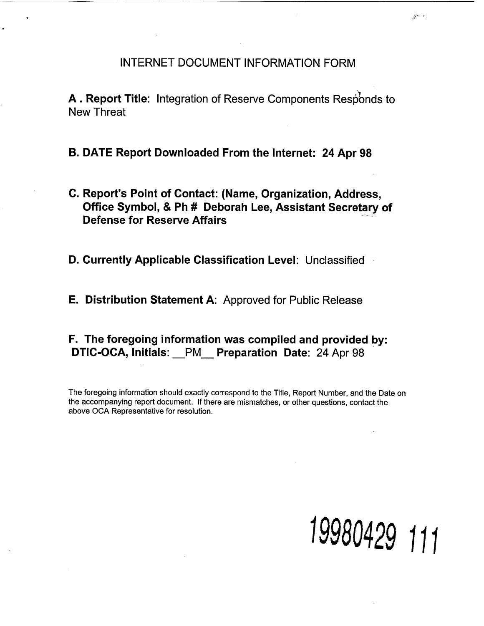## INTERNET DOCUMENT INFORMATION FORM

A. Report Title: Integration of Reserve Components Responds to New Threat

B. DATE Report Downloaded From the Internet: 24 Apr 98

C. Report's Point of Contact: (Name, Organization, Address, Office Symbol, & Ph # Deborah Lee, Assistant Secretary of Defense for Reserve Affairs

D. Currently Applicable Classification Level: Unclassified

E. Distribution Statement A: Approved for Public Release

F. The foregoing information was compiled and provided by: DTIC-OCA, Initials: PM Preparation Date: 24 Apr 98

The foregoing information should exactly correspond to the Title, Report Number, and the Date on the accompanying report document. If there are mismatches, or other questions, contact the above OCA Representative for resolution.



 $\hat{\mathcal{P}}^{k-r}$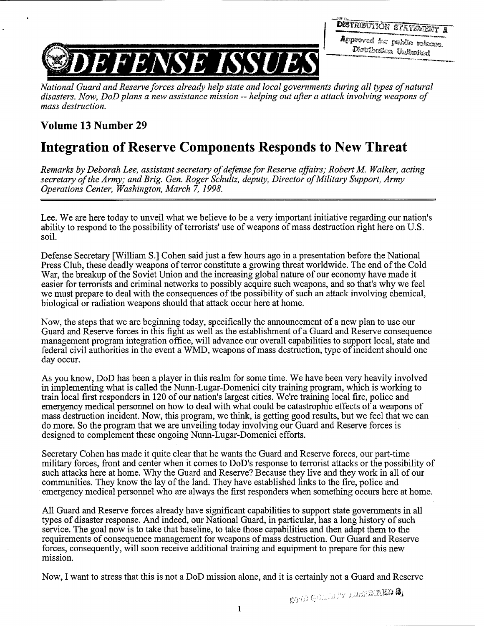Approved for public release, Metabution United



*National Guard and Reserve forces already help state and local governments during all types of natural*  disasters. Now, DoD plans a new assistance mission -- helping out after a attack involving weapons of *mass destruction.* 

## **Volume 13 Number 29**

## **Integration of Reserve Components Responds to New Threat**

*Remarks by Deborah Lee, assistant secretary of defense for Reserve affairs; Robert M. Walker, acting* secretary of the Army; and Brig. Gen. Roger Schultz, deputy, Director of Military Support, Army *Operations Center, Washington, March 7,* 1998.

Lee. We are here today to unveil what we believe to be a very important initiative regarding our nation's ability to respond to the possibility of terrorists' use of weapons of mass destruction right here on U.S. soil.

Defense Secretary [William S.] Cohen said just a few hours ago in a presentation before the National Press Club, these deadly weapons of terror constitute a growing threat worldwide. The end of the Cold War, the breakup of the Soviet Union and the increasing global nature of our economy have made it easier for terrorists and criminal networks to possibly acquire such weapons, and so that's why we feel we must prepare to deal with the consequences of the possibility of such an attack involving chemical, biological or radiation weapons should that attack occur here at home.

Now, the steps that we are beginning today, specifically the announcement of a new plan to use our Guard and Reserve forces in this fight as well as the establishment of a Guard and Reserve consequence management program integration office, will advance our overall capabilities to support local, state and federal civil authorities in the event a WMD, weapons of mass destruction, type of incident should one day occur.

As you know, DoD has been a player in this realm for some time. We have been very heavily involved in implementing what is called the Nunn-Lugar-Domenici city training program, which is working to train local first responders in 120 of our nation's largest cities. We're training local fire, police and emergency medical personnel on how to deal with what could be catastrophic effects of a weapons of mass destruction incident. Now, this program, we think, is getting good results, but we feel that we can do more. So the program that we are unveiling today involving our Guard and Reserve forces is designed to complement these ongoing Nunn-Lugar-Domenici efforts.

Secretary Cohen has made it quite clear that he wants the Guard and Reserve forces, our part-time military forces, front and center when it comes to DoD's response to terrorist attacks or the possibility of such attacks here at home. Why the Guard and Reserve? Because they live and they work in all of our communities. They know the lay of the land. They have established links to the fire, police and emergency medical personnel who are always the first responders when something occurs here at home.

All Guard and Reserve forces already have significant capabilities to support state governments in all types of disaster response. And indeed, our National Guard, in particular, has a long history of such service. The goal now is to take that baseline, to take those capabilities and then adapt them to the requirements of consequence management for weapons of mass destruction. Our Guard and Reserve forces, consequently, will soon receive additional training and equipment to prepare for this new mission.

Now, I want to stress that this is not a DoD mission alone, and it is certainly not a Guard and Reserve

**DEAD COLLETY INSTRUED &**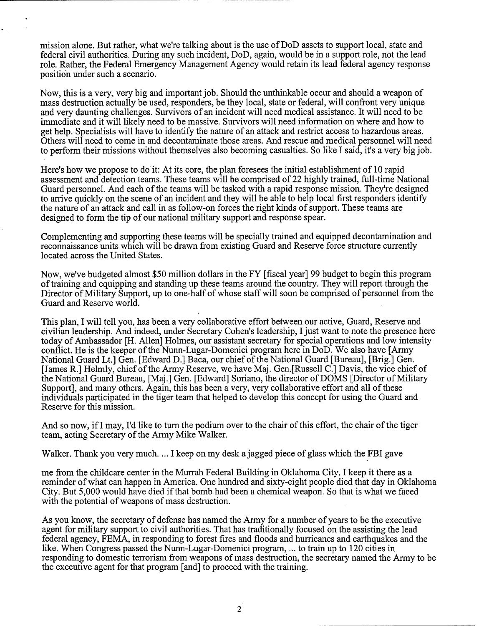mission alone. But rather, what we're talking about is the use of DoD assets to support local, state and federal civil authorities. During any such incident, DoD, again, would be in a support role, not the lead role. Rather, the Federal Emergency Management Agency would retain its lead federal agency response position under such a scenario.

Now, this is a very, very big and important job. Should the unthinkable occur and should a weapon of mass destruction actually be used, responders, be they local, state or federal, will confront very unique and very daunting challenges. Survivors of an incident will need medical assistance. It will need to be immediate and it will likely need to be massive. Survivors will need information on where and how to get help. Specialists will have to identify the nature of an attack and restrict access to hazardous areas. Others will need to come in and decontaminate those areas. And rescue and medical personnel will need to perform their missions without themselves also becoming casualties. So like I said, it's a very big job.

Here's how we propose to do it: At its core, the plan foresees the initial establishment of 10 rapid assessment and detection teams. These teams will be comprised of 22 highly trained, full-time National Guard personnel. And each of the teams will be tasked with a rapid response mission. They're designed to arrive quickly on the scene of an incident and they will be able to help local first responders identify the nature of an attack and call in as follow-on forces the right kinds of support. These teams are designed to form the tip of our national military support and response spear.

Complementing and supporting these teams will be specially trained and equipped decontamination and reconnaissance units which will be drawn from existing Guard and Reserve force structure currently located across the United States.

Now, we've budgeted almost \$50 million dollars in the FY [fiscal year] 99 budget to begin this program of training and equipping and standing up these teams around the country. They will report through the Director of Military Support, up to one-half of whose staff will soon be comprised of personnel from the Guard and Reserve world.

This plan, I will tell you, has been a very collaborative effort between our active, Guard, Reserve and civilian leadership. And indeed, under Secretary Cohen's leadership, I just want to note the presence here today of Ambassador [H. Allen] Holmes, our assistant secretary for special operations and low intensity conflict. He is the keeper of the Nunn-Lugar-Domenici program here in DoD. We also have [Army National Guard Lt.] Gen. [Edward D.] Baca, our chief of the National Guard [Bureau], [Brig.] Gen. [James R.] Helmly, chief of the Army Reserve, we have Maj. Gen.[Russell C.] Davis, the vice chief of the National Guard Bureau, [Maj.] Gen. [Edward] Soriano, the director of DOMS [Director of Military Support], and many others. Again, this has been a very, very collaborative effort and all of these individuals participated in the tiger team that helped to develop this concept for using the Guard and Reserve for this mission.

And so now, if I may, I'd like to turn the podium over to the chair of this effort, the chair of the tiger team, acting Secretary of the Army Mike Walker.

Walker. Thank you very much. ... I keep on my desk a jagged piece of glass which the FBI gave

me from the childcare center in the Murrah Federal Building in Oklahoma City. I keep it there as a reminder of what can happen in America. One hundred and sixty-eight people died that day in Oklahoma City. But 5,000 would have died if that bomb had been a chemical weapon. So that is what we faced with the potential of weapons of mass destruction.

As you know, the secretary of defense has named the Army for a number of years to be the executive agent for military support to civil authorities. That has traditionally focused on the assisting the lead federal agency, FEMA, in responding to forest fires and floods and hurricanes and earthquakes and the like. When Congress passed the Nunn-Lugar-Domenici program, ... to train up to 120 cities in responding to domestic terrorism from weapons of mass destruction, the secretary named the Army to be the executive agent for that program [and] to proceed with the training.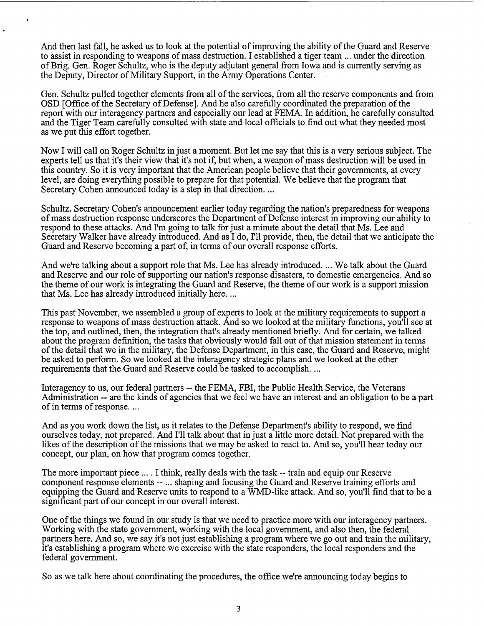And then last fall, he asked us to look at the potential of improving the ability of the Guard and Reserve to assist in responding to weapons of mass destruction. I established a tiger team ... under the direction of Brig. Gen. Roger Schultz, who is the deputy adjutant general from Iowa and is currently serving as the Deputy, Director of Military Support, in the Army Operations Center.

Gen. Schultz pulled together elements from all of the services, from all the reserve components and from OSD [Office of the Secretary of Defense]. And he also carefully coordinated the preparation of the report with our interagency partners and especially our lead at FEMA. In addition, he carefully consulted and the Tiger Team carefully consulted with state and local officials to find out what they needed most as we put this effort together.

Now I will call on Roger Schultz in just a moment. But let me say that this is a very serious subject. The experts tell us that it's their view that it's not if, but when, a weapon of mass destruction will be used in this country. So it is very important that the American people believe that their governments, at every level, are doing everything possible to prepare for that potential. We believe that the program that Secretary Cohen announced today is a step in that direction. ...

Schultz. Secretary Cohen's announcement earlier today regarding the nation's preparedness for weapons of mass destruction response underscores the Department of Defense interest in improving our ability to respond to these attacks. And I'm going to talk for just a minute about the detail that Ms. Lee and Secretary Walker have already introduced. And as I do, I'll provide, then, the detail that we anticipate the Guard and Reserve becoming a part of, in terms of our overall response efforts.

And we're talking about a support role that Ms. Lee has already introduced. ... We talk about the Guard and Reserve and our role of supporting our nation's response disasters, to domestic emergencies. And so the theme of our work is integrating the Guard and Reserve, the theme of our work is a support mission that Ms. Lee has already introduced initially here. ...

This past November, we assembled a group of experts to look at the military requirements to support a response to weapons of mass destruction attack. And so we looked at the military functions, you'll see at the top, and outlined, then, the integration that's already mentioned briefly. And for certain, we talked about the program definition, the tasks that obviously would fall out of that mission statement in terms of the detail that we in the military, the Defense Department, in this case, the Guard and Reserve, might be asked to perform. So we looked at the interagency strategic plans and we looked at the other requirements that the Guard and Reserve could be tasked to accomplish. ...

Interagency to us, our federal partners -- the FEMA, FBI, the Public Health Service, the Veterans Administration -- are the kinds of agencies that we feel we have an interest and an obligation to be a part of in terms of response. ...

And as you work down the list, as it relates to the Defense Department's ability to respond, we find ourselves today, not prepared. And I'll talk about that in just a little more detail. Not prepared with the likes of the description of the missions that we may be asked to react to. And so, you'll hear today our concept, our plan, on how that program comes together.

The more important piece ... . I think, really deals with the task -- train and equip our Reserve component response elements -- ... shaping and focusing the Guard and Reserve training efforts and equipping the Guard and Reserve units to respond to a WMD-like attack. And so, you'll find that to be a significant part of our concept in our overall interest.

One of the things we found in our study is that we need to practice more with our interagency partners. Working with the state government, working with the local government, and also then, the federal partners here. And so, we say it's not just establishing a program where we go out and train the military, it's establishing a program where we exercise with the state responders, the local responders and the federal government.

So as we talk here about coordinating the procedures, the office we're announcing today begins to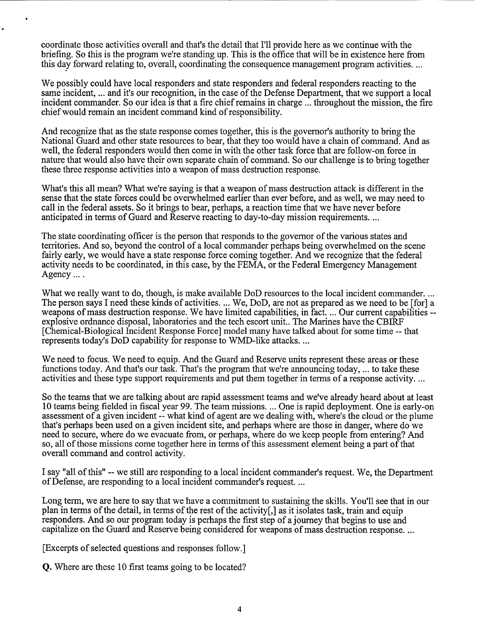coordinate those activities overall and that's the detail that 1'11 provide here as we continue with the briefing. So this is the program we're standing up. This is the office that will be in existence here from this day forward relating to, overall, coordinating the consequence management program activities. ...

We possibly could have local responders and state responders and federal responders reacting to the same incident, ... and it's our recognition, in the case of the Defense Department, that we support a local incident commander. So our idea is that a fire chief remains in charge ... throughout the mission, the fire chief would remain an incident command kind of responsibility.

And recognize that as the state response comes together, this is the governor's authority to bring the National Guard and other state resources to bear, that they too would have a chain of command. And as well, the federal responders would then come in with the other task force that are follow-on force in nature that would also have their own separate chain of command. So our challenge is to bring together these three response activities into a weapon of mass destruction response.

What's this all mean? What we're saying is that a weapon of mass destruction attack is different in the sense that the state forces could be overwhelmed earlier than ever before, and as well, we may need to call in the federal assets. So it brings to bear, perhaps, a reaction time that we have never before anticipated in terms of Guard and Reserve reacting to day-to-day mission requirements. ...

The state coordinating officer is the person that responds to the governor of the various states and territories. And so, beyond the control of a local commander perhaps being overwhelmed on the scene fairly early, we would have a state response force coming together. And we recognize that the federal activity needs to be coordinated, in this case, by the FEMA, or the Federal Emergency Management Agency ... .

What we really want to do, though, is make available DoD resources to the local incident commander. ... The person says I need these kinds of activities. ... We, DoD, are not as prepared as we need to be [for] a weapons of mass destruction response. We have limited capabilities, in fact. ... Our current capabilities -explosive ordnance disposal, laboratories and the tech escort unit.. The Marines have the CBIRF [Chemical-Biological Incident Response Force] model many have talked about for some time -- that represents today's DoD capability for response to WMD-like attacks. ...

We need to focus. We need to equip. And the Guard and Reserve units represent these areas or these functions today. And that's our task. That's the program that we're announcing today, ... to take these activities and these type support requirements and put them together in terms of a response activity. ...

So the teams that we are talking about are rapid assessment teams and we've already heard about at least 10 teams being fielded in fiscal year 99. The team missions. ... One is rapid deployment. One is early-on assessment of a given incident -- what kind of agent are we dealing with, where's the cloud or the plume that's perhaps been used on a given incident site, and perhaps where are those in danger, where do we need to secure, where do we evacuate from, or perhaps, where do we keep people from entering? And so, all of those missions come together here in terms of this assessment element being a part of that overall command and control activity.

I say "all of this" -- we still are responding to a local incident commander's request. We, the Department of Defense, are responding to a local incident commander's request. ...

Long term, we are here to say that we have a commitment to sustaining the skills. You'll see that in our plan in terms of the detail, in terms of the rest of the activity[,] as it isolates task, train and equip responders. And so our program today is perhaps the first step of a journey that begins to use and capitalize on the Guard and Reserve being considered for weapons of mass destruction response. ...

[Excerpts of selected questions and responses follow.]

**Q.** Where are these 10 first teams going to be located?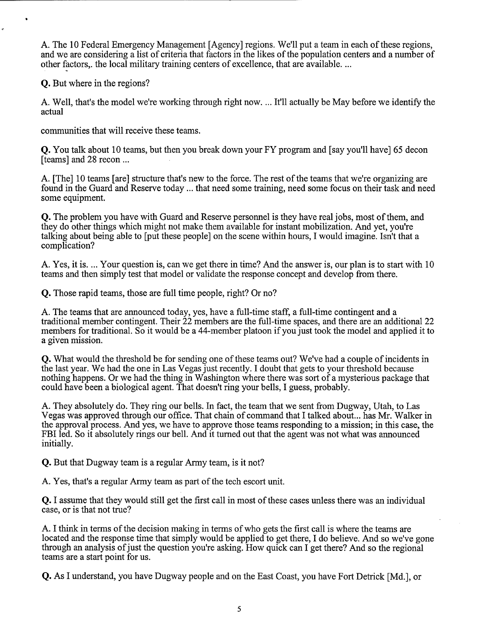A. The 10 Federal Emergency Management [Agency] regions. We'll put a team in each of these regions, and we are considering a list of criteria that factors in the likes of the population centers and a number of other factors,. the local military training centers of excellence, that are available. ...

*Q.* But where in the regions?

A. Well, that's the model we're working through right now. ... It'll actually be May before we identify the actual

communities that will receive these teams.

**Q.** You talk about 10 teams, but then you break down your FY program and [say you'll have] 65 decon [teams] and 28 recon ...

A. [The] 10 teams [are] structure that's new to the force. The rest of the teams that we're organizing are found in the Guard and Reserve today ... that need some training, need some focus on their task and need some equipment.

*Q.* The problem you have with Guard and Reserve personnel is they have real jobs, most of them, and they do other things which might not make them available for instant mobilization. And yet, you're talking about being able to [put these people] on the scene within hours, I would imagine. Isn't that a complication?

A. Yes, it is. ... Your question is, can we get there in time? And the answer is, our plan is to start with 10 teams and then simply test that model or validate the response concept and develop from there.

*Q.* Those rapid teams, those are full time people, right? Or no?

A. The teams that are announced today, yes, have a full-time staff, a full-time contingent and a traditional member contingent. Their 22 members are the full-time spaces, and there are an additional 22 members for traditional. So it would be a 44-member platoon if you just took the model and applied it to a given mission.

*Q.* What would the threshold be for sending one of these teams out? We've had a couple of incidents in the last year. We had the one in Las Vegas just recently. I doubt that gets to your threshold because nothing happens. Or we had the thing in Washington where there was sort of a mysterious package that could have been a biological agent. That doesn't ring your bells, I guess, probably.

A. They absolutely do. They ring our bells. In fact, the team that we sent from Dugway, Utah, to Las Vegas was approved through our office. That chain of command that I talked about ... has Mr. Walker in the approval process. And yes, we have to approve those teams responding to a mission; in this case, the FBI led. So it absolutely rings our bell. And it turned out that the agent was not what was announced initially.

*Q.* But that Dugway team is a regular Army team, is it not?

A. Yes, that's a regular Army team as part of the tech escort unit.

*Q.* I assume that they would still get the first call in most of these cases unless there was an individual case, or is that not true?

A. I think in terms of the decision making in terms of who gets the first call is where the teams are located and the response time that simply would be applied to get there, I do believe. And so we've gone through an analysis of just the question you're asking. How quick can I get there? And so the regional teams are a start point for us.

*Q.* As I understand, you have Dugway people and on the East Coast, you have Fort Detrick [Md.], or